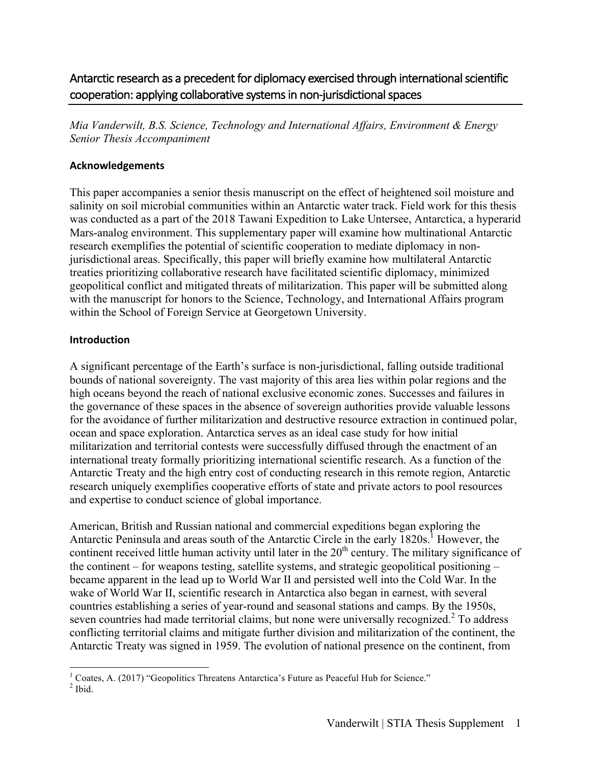Antarctic research as a precedent for diplomacy exercised through international scientific cooperation: applying collaborative systems in non-jurisdictional spaces

*Mia Vanderwilt, B.S. Science, Technology and International Affairs, Environment & Energy Senior Thesis Accompaniment*

#### **Acknowledgements**

This paper accompanies a senior thesis manuscript on the effect of heightened soil moisture and salinity on soil microbial communities within an Antarctic water track. Field work for this thesis was conducted as a part of the 2018 Tawani Expedition to Lake Untersee, Antarctica, a hyperarid Mars-analog environment. This supplementary paper will examine how multinational Antarctic research exemplifies the potential of scientific cooperation to mediate diplomacy in nonjurisdictional areas. Specifically, this paper will briefly examine how multilateral Antarctic treaties prioritizing collaborative research have facilitated scientific diplomacy, minimized geopolitical conflict and mitigated threats of militarization. This paper will be submitted along with the manuscript for honors to the Science, Technology, and International Affairs program within the School of Foreign Service at Georgetown University.

## **Introduction**

A significant percentage of the Earth's surface is non-jurisdictional, falling outside traditional bounds of national sovereignty. The vast majority of this area lies within polar regions and the high oceans beyond the reach of national exclusive economic zones. Successes and failures in the governance of these spaces in the absence of sovereign authorities provide valuable lessons for the avoidance of further militarization and destructive resource extraction in continued polar, ocean and space exploration. Antarctica serves as an ideal case study for how initial militarization and territorial contests were successfully diffused through the enactment of an international treaty formally prioritizing international scientific research. As a function of the Antarctic Treaty and the high entry cost of conducting research in this remote region, Antarctic research uniquely exemplifies cooperative efforts of state and private actors to pool resources and expertise to conduct science of global importance.

American, British and Russian national and commercial expeditions began exploring the Antarctic Peninsula and areas south of the Antarctic Circle in the early  $1820s<sup>1</sup>$ . However, the continent received little human activity until later in the  $20<sup>th</sup>$  century. The military significance of the continent – for weapons testing, satellite systems, and strategic geopolitical positioning – became apparent in the lead up to World War II and persisted well into the Cold War. In the wake of World War II, scientific research in Antarctica also began in earnest, with several countries establishing a series of year-round and seasonal stations and camps. By the 1950s, seven countries had made territorial claims, but none were universally recognized.<sup>2</sup> To address conflicting territorial claims and mitigate further division and militarization of the continent, the Antarctic Treaty was signed in 1959. The evolution of national presence on the continent, from

<sup>&</sup>lt;sup>1</sup> Coates, A. (2017) "Geopolitics Threatens Antarctica's Future as Peaceful Hub for Science."<br><sup>2</sup> Ibid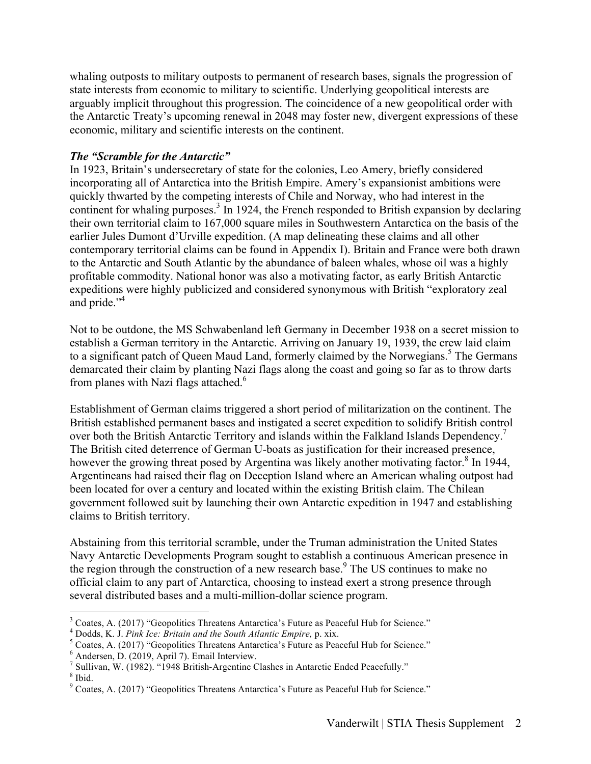whaling outposts to military outposts to permanent of research bases, signals the progression of state interests from economic to military to scientific. Underlying geopolitical interests are arguably implicit throughout this progression. The coincidence of a new geopolitical order with the Antarctic Treaty's upcoming renewal in 2048 may foster new, divergent expressions of these economic, military and scientific interests on the continent.

# *The "Scramble for the Antarctic"*

In 1923, Britain's undersecretary of state for the colonies, Leo Amery, briefly considered incorporating all of Antarctica into the British Empire. Amery's expansionist ambitions were quickly thwarted by the competing interests of Chile and Norway, who had interest in the continent for whaling purposes.<sup>3</sup> In 1924, the French responded to British expansion by declaring their own territorial claim to 167,000 square miles in Southwestern Antarctica on the basis of the earlier Jules Dumont d'Urville expedition. (A map delineating these claims and all other contemporary territorial claims can be found in Appendix I). Britain and France were both drawn to the Antarctic and South Atlantic by the abundance of baleen whales, whose oil was a highly profitable commodity. National honor was also a motivating factor, as early British Antarctic expeditions were highly publicized and considered synonymous with British "exploratory zeal and pride."<sup>4</sup>

Not to be outdone, the MS Schwabenland left Germany in December 1938 on a secret mission to establish a German territory in the Antarctic. Arriving on January 19, 1939, the crew laid claim to a significant patch of Queen Maud Land, formerly claimed by the Norwegians.<sup>5</sup> The Germans demarcated their claim by planting Nazi flags along the coast and going so far as to throw darts from planes with Nazi flags attached.<sup>6</sup>

Establishment of German claims triggered a short period of militarization on the continent. The British established permanent bases and instigated a secret expedition to solidify British control over both the British Antarctic Territory and islands within the Falkland Islands Dependency.<sup>7</sup> The British cited deterrence of German U-boats as justification for their increased presence, however the growing threat posed by Argentina was likely another motivating factor.<sup>8</sup> In 1944, Argentineans had raised their flag on Deception Island where an American whaling outpost had been located for over a century and located within the existing British claim. The Chilean government followed suit by launching their own Antarctic expedition in 1947 and establishing claims to British territory.

Abstaining from this territorial scramble, under the Truman administration the United States Navy Antarctic Developments Program sought to establish a continuous American presence in the region through the construction of a new research base.<sup>9</sup> The US continues to make no official claim to any part of Antarctica, choosing to instead exert a strong presence through several distributed bases and a multi-million-dollar science program.

 $3$  Coates, A. (2017) "Geopolitics Threatens Antarctica's Future as Peaceful Hub for Science."

<sup>4</sup> Dodds, K. J. *Pink Ice: Britain and the South Atlantic Empire,* p. xix. <sup>5</sup> Coates, A. (2017) "Geopolitics Threatens Antarctica's Future as Peaceful Hub for Science." <sup>6</sup> Andersen, D. (2019, April 7). Email Interview.

<sup>&</sup>lt;sup>7</sup> Sullivan, W. (1982). "1948 British-Argentine Clashes in Antarctic Ended Peacefully." <sup>8</sup> Ibid.

<sup>9</sup> Coates, A. (2017) "Geopolitics Threatens Antarctica's Future as Peaceful Hub for Science."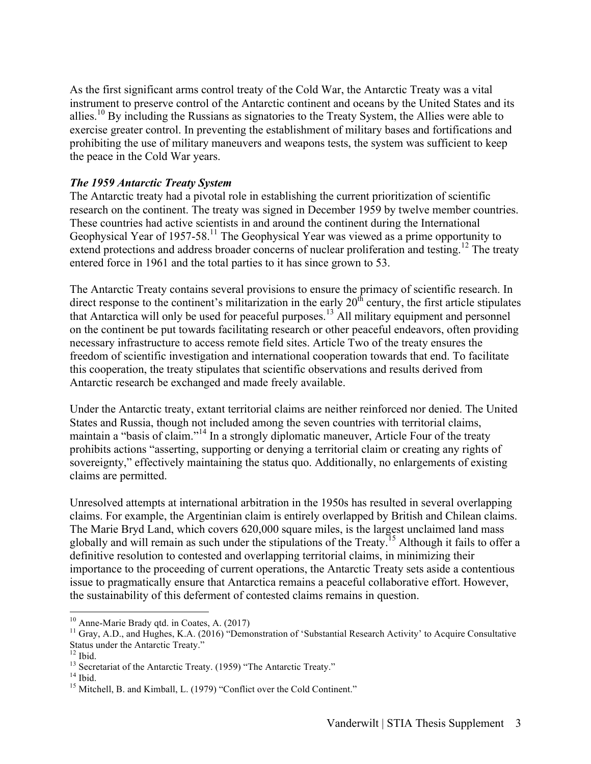As the first significant arms control treaty of the Cold War, the Antarctic Treaty was a vital instrument to preserve control of the Antarctic continent and oceans by the United States and its allies.<sup>10</sup> By including the Russians as signatories to the Treaty System, the Allies were able to exercise greater control. In preventing the establishment of military bases and fortifications and prohibiting the use of military maneuvers and weapons tests, the system was sufficient to keep the peace in the Cold War years.

#### *The 1959 Antarctic Treaty System*

The Antarctic treaty had a pivotal role in establishing the current prioritization of scientific research on the continent. The treaty was signed in December 1959 by twelve member countries. These countries had active scientists in and around the continent during the International Geophysical Year of 1957-58.<sup>11</sup> The Geophysical Year was viewed as a prime opportunity to extend protections and address broader concerns of nuclear proliferation and testing.<sup>12</sup> The treaty entered force in 1961 and the total parties to it has since grown to 53.

The Antarctic Treaty contains several provisions to ensure the primacy of scientific research. In direct response to the continent's militarization in the early 20<sup>th</sup> century, the first article stipulates that Antarctica will only be used for peaceful purposes.<sup>13</sup> All military equipment and personnel on the continent be put towards facilitating research or other peaceful endeavors, often providing necessary infrastructure to access remote field sites. Article Two of the treaty ensures the freedom of scientific investigation and international cooperation towards that end. To facilitate this cooperation, the treaty stipulates that scientific observations and results derived from Antarctic research be exchanged and made freely available.

Under the Antarctic treaty, extant territorial claims are neither reinforced nor denied. The United States and Russia, though not included among the seven countries with territorial claims, maintain a "basis of claim."<sup>14</sup> In a strongly diplomatic maneuver, Article Four of the treaty prohibits actions "asserting, supporting or denying a territorial claim or creating any rights of sovereignty," effectively maintaining the status quo. Additionally, no enlargements of existing claims are permitted.

Unresolved attempts at international arbitration in the 1950s has resulted in several overlapping claims. For example, the Argentinian claim is entirely overlapped by British and Chilean claims. The Marie Bryd Land, which covers 620,000 square miles, is the largest unclaimed land mass globally and will remain as such under the stipulations of the Treaty.<sup>15</sup> Although it fails to offer a definitive resolution to contested and overlapping territorial claims, in minimizing their importance to the proceeding of current operations, the Antarctic Treaty sets aside a contentious issue to pragmatically ensure that Antarctica remains a peaceful collaborative effort. However, the sustainability of this deferment of contested claims remains in question.

<sup>&</sup>lt;sup>10</sup> Anne-Marie Brady qtd. in Coates, A. (2017)<br><sup>11</sup> Gray, A.D., and Hughes, K.A. (2016) "Demonstration of 'Substantial Research Activity' to Acquire Consultative Status under the Antarctic Treaty."

<sup>&</sup>lt;sup>13</sup> Secretariat of the Antarctic Treaty. (1959) "The Antarctic Treaty."  $14$  Ibid.  $15$  Mitchell, B. and Kimball, L. (1979) "Conflict over the Cold Continent."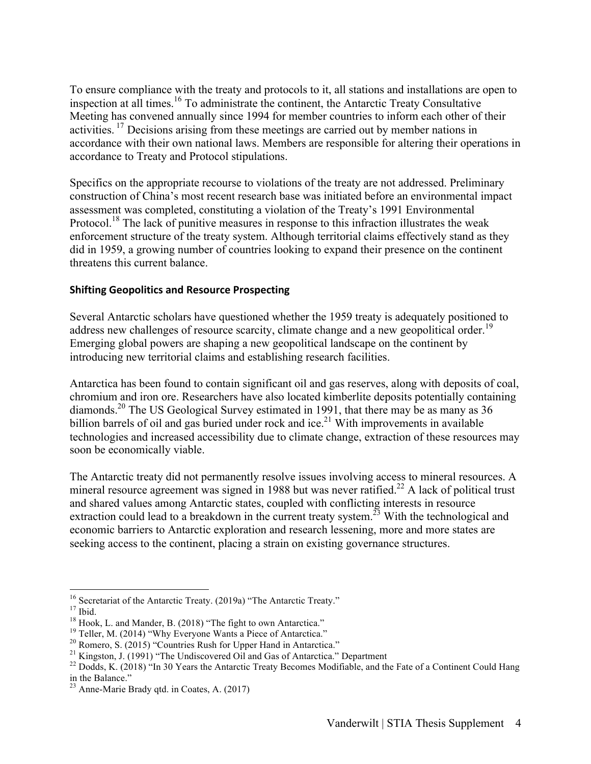To ensure compliance with the treaty and protocols to it, all stations and installations are open to inspection at all times.<sup>16</sup> To administrate the continent, the Antarctic Treaty Consultative Meeting has convened annually since 1994 for member countries to inform each other of their activities. <sup>17</sup> Decisions arising from these meetings are carried out by member nations in accordance with their own national laws. Members are responsible for altering their operations in accordance to Treaty and Protocol stipulations.

Specifics on the appropriate recourse to violations of the treaty are not addressed. Preliminary construction of China's most recent research base was initiated before an environmental impact assessment was completed, constituting a violation of the Treaty's 1991 Environmental Protocol.<sup>18</sup> The lack of punitive measures in response to this infraction illustrates the weak enforcement structure of the treaty system. Although territorial claims effectively stand as they did in 1959, a growing number of countries looking to expand their presence on the continent threatens this current balance.

#### **Shifting Geopolitics and Resource Prospecting**

Several Antarctic scholars have questioned whether the 1959 treaty is adequately positioned to address new challenges of resource scarcity, climate change and a new geopolitical order.<sup>19</sup> Emerging global powers are shaping a new geopolitical landscape on the continent by introducing new territorial claims and establishing research facilities.

Antarctica has been found to contain significant oil and gas reserves, along with deposits of coal, chromium and iron ore. Researchers have also located kimberlite deposits potentially containing diamonds.<sup>20</sup> The US Geological Survey estimated in 1991, that there may be as many as 36 billion barrels of oil and gas buried under rock and ice.<sup>21</sup> With improvements in available technologies and increased accessibility due to climate change, extraction of these resources may soon be economically viable.

The Antarctic treaty did not permanently resolve issues involving access to mineral resources. A mineral resource agreement was signed in 1988 but was never ratified.<sup>22</sup> A lack of political trust and shared values among Antarctic states, coupled with conflicting interests in resource extraction could lead to a breakdown in the current treaty system.<sup>23</sup> With the technological and economic barriers to Antarctic exploration and research lessening, more and more states are seeking access to the continent, placing a strain on existing governance structures.

<sup>&</sup>lt;sup>16</sup> Secretariat of the Antarctic Treaty. (2019a) "The Antarctic Treaty."<br>
<sup>17</sup> Ibid.<br>
<sup>18</sup> Hook, L. and Mander, B. (2018) "The fight to own Antarctica."<br>
<sup>19</sup> Teller, M. (2014) "Why Everyone Wants a Piece of Antarctica." in the Balance."

<sup>23</sup> Anne-Marie Brady qtd. in Coates, A. (2017)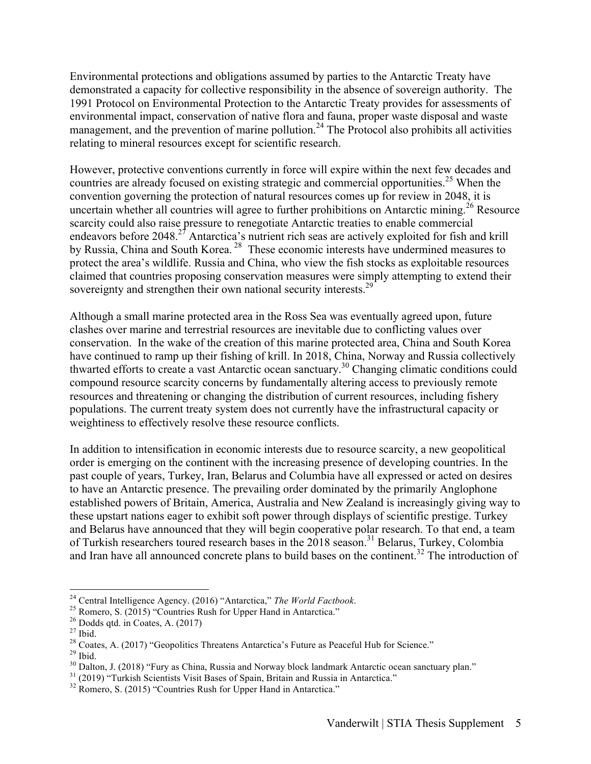Environmental protections and obligations assumed by parties to the Antarctic Treaty have demonstrated a capacity for collective responsibility in the absence of sovereign authority. The 1991 Protocol on Environmental Protection to the Antarctic Treaty provides for assessments of environmental impact, conservation of native flora and fauna, proper waste disposal and waste management, and the prevention of marine pollution.<sup>24</sup> The Protocol also prohibits all activities relating to mineral resources except for scientific research.

However, protective conventions currently in force will expire within the next few decades and countries are already focused on existing strategic and commercial opportunities.<sup>25</sup> When the convention governing the protection of natural resources comes up for review in 2048, it is uncertain whether all countries will agree to further prohibitions on Antarctic mining.<sup>26</sup> Resource scarcity could also raise pressure to renegotiate Antarctic treaties to enable commercial endeavors before 2048<sup>27</sup> Antarctica's nutrient rich seas are actively exploited for fish and krill by Russia, China and South Korea.<sup>28</sup> These economic interests have undermined measures to protect the area's wildlife. Russia and China, who view the fish stocks as exploitable resources claimed that countries proposing conservation measures were simply attempting to extend their sovereignty and strengthen their own national security interests.<sup>29</sup>

Although a small marine protected area in the Ross Sea was eventually agreed upon, future clashes over marine and terrestrial resources are inevitable due to conflicting values over conservation. In the wake of the creation of this marine protected area, China and South Korea have continued to ramp up their fishing of krill. In 2018, China, Norway and Russia collectively thwarted efforts to create a vast Antarctic ocean sanctuary. <sup>30</sup> Changing climatic conditions could compound resource scarcity concerns by fundamentally altering access to previously remote resources and threatening or changing the distribution of current resources, including fishery populations. The current treaty system does not currently have the infrastructural capacity or weightiness to effectively resolve these resource conflicts.

In addition to intensification in economic interests due to resource scarcity, a new geopolitical order is emerging on the continent with the increasing presence of developing countries. In the past couple of years, Turkey, Iran, Belarus and Columbia have all expressed or acted on desires to have an Antarctic presence. The prevailing order dominated by the primarily Anglophone established powers of Britain, America, Australia and New Zealand is increasingly giving way to these upstart nations eager to exhibit soft power through displays of scientific prestige. Turkey and Belarus have announced that they will begin cooperative polar research. To that end, a team of Turkish researchers toured research bases in the  $2018$  season.<sup>31</sup> Belarus, Turkey, Colombia and Iran have all announced concrete plans to build bases on the continent.<sup>32</sup> The introduction of

<sup>&</sup>lt;sup>24</sup> Central Intelligence Agency. (2016) "Antarctica," *The World Factbook.*<br>
<sup>25</sup> Romero, S. (2015) "Countries Rush for Upper Hand in Antarctica."<br>
<sup>26</sup> Dodds qtd. in Coates, A. (2017)<br>
<sup>27</sup> Ibid.<br>
<sup>28</sup> Coates, A. (2017)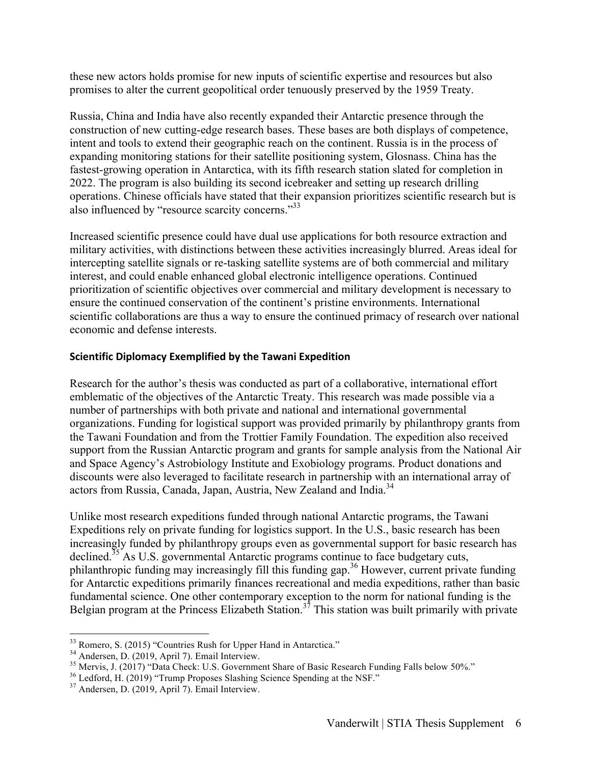these new actors holds promise for new inputs of scientific expertise and resources but also promises to alter the current geopolitical order tenuously preserved by the 1959 Treaty.

Russia, China and India have also recently expanded their Antarctic presence through the construction of new cutting-edge research bases. These bases are both displays of competence, intent and tools to extend their geographic reach on the continent. Russia is in the process of expanding monitoring stations for their satellite positioning system, Glosnass. China has the fastest-growing operation in Antarctica, with its fifth research station slated for completion in 2022. The program is also building its second icebreaker and setting up research drilling operations. Chinese officials have stated that their expansion prioritizes scientific research but is also influenced by "resource scarcity concerns."33

Increased scientific presence could have dual use applications for both resource extraction and military activities, with distinctions between these activities increasingly blurred. Areas ideal for intercepting satellite signals or re-tasking satellite systems are of both commercial and military interest, and could enable enhanced global electronic intelligence operations. Continued prioritization of scientific objectives over commercial and military development is necessary to ensure the continued conservation of the continent's pristine environments. International scientific collaborations are thus a way to ensure the continued primacy of research over national economic and defense interests.

#### **Scientific Diplomacy Exemplified by the Tawani Expedition**

Research for the author's thesis was conducted as part of a collaborative, international effort emblematic of the objectives of the Antarctic Treaty. This research was made possible via a number of partnerships with both private and national and international governmental organizations. Funding for logistical support was provided primarily by philanthropy grants from the Tawani Foundation and from the Trottier Family Foundation. The expedition also received support from the Russian Antarctic program and grants for sample analysis from the National Air and Space Agency's Astrobiology Institute and Exobiology programs. Product donations and discounts were also leveraged to facilitate research in partnership with an international array of actors from Russia, Canada, Japan, Austria, New Zealand and India.<sup>34</sup>

Unlike most research expeditions funded through national Antarctic programs, the Tawani Expeditions rely on private funding for logistics support. In the U.S., basic research has been increasingly funded by philanthropy groups even as governmental support for basic research has declined.<sup>35</sup> As U.S. governmental Antarctic programs continue to face budgetary cuts, philanthropic funding may increasingly fill this funding gap.<sup>36</sup> However, current private funding for Antarctic expeditions primarily finances recreational and media expeditions, rather than basic fundamental science. One other contemporary exception to the norm for national funding is the Belgian program at the Princess Elizabeth Station.<sup>37</sup> This station was built primarily with private

<sup>&</sup>lt;sup>33</sup> Romero, S. (2015) "Countries Rush for Upper Hand in Antarctica."<br><sup>34</sup> Andersen, D. (2019, April 7). Email Interview.<br><sup>35</sup> Mervis, J. (2017) "Data Check: U.S. Government Share of Basic Research Funding Falls below 50%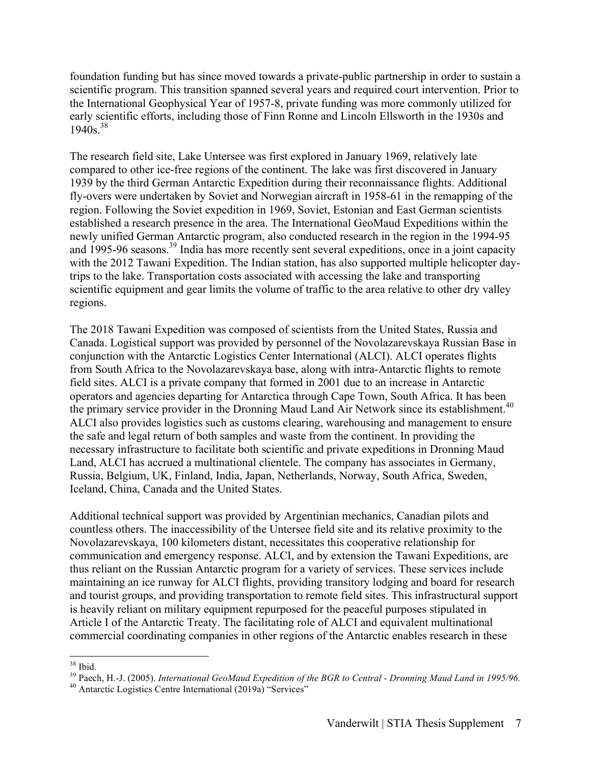foundation funding but has since moved towards a private-public partnership in order to sustain a scientific program. This transition spanned several years and required court intervention. Prior to the International Geophysical Year of 1957-8, private funding was more commonly utilized for early scientific efforts, including those of Finn Ronne and Lincoln Ellsworth in the 1930s and  $1940s^{38}$ 

The research field site, Lake Untersee was first explored in January 1969, relatively late compared to other ice-free regions of the continent. The lake was first discovered in January 1939 by the third German Antarctic Expedition during their reconnaissance flights. Additional fly-overs were undertaken by Soviet and Norwegian aircraft in 1958-61 in the remapping of the region. Following the Soviet expedition in 1969, Soviet, Estonian and East German scientists established a research presence in the area. The International GeoMaud Expeditions within the newly unified German Antarctic program, also conducted research in the region in the 1994-95 and 1995-96 seasons.<sup>39</sup> India has more recently sent several expeditions, once in a joint capacity with the 2012 Tawani Expedition. The Indian station, has also supported multiple helicopter daytrips to the lake. Transportation costs associated with accessing the lake and transporting scientific equipment and gear limits the volume of traffic to the area relative to other dry valley regions.

The 2018 Tawani Expedition was composed of scientists from the United States, Russia and Canada. Logistical support was provided by personnel of the Novolazarevskaya Russian Base in conjunction with the Antarctic Logistics Center International (ALCI). ALCI operates flights from South Africa to the Novolazarevskaya base, along with intra-Antarctic flights to remote field sites. ALCI is a private company that formed in 2001 due to an increase in Antarctic operators and agencies departing for Antarctica through Cape Town, South Africa. It has been the primary service provider in the Dronning Maud Land Air Network since its establishment.<sup>40</sup> ALCI also provides logistics such as customs clearing, warehousing and management to ensure the safe and legal return of both samples and waste from the continent. In providing the necessary infrastructure to facilitate both scientific and private expeditions in Dronning Maud Land, ALCI has accrued a multinational clientele. The company has associates in Germany, Russia, Belgium, UK, Finland, India, Japan, Netherlands, Norway, South Africa, Sweden, Iceland, China, Canada and the United States.

Additional technical support was provided by Argentinian mechanics, Canadian pilots and countless others. The inaccessibility of the Untersee field site and its relative proximity to the Novolazarevskaya, 100 kilometers distant, necessitates this cooperative relationship for communication and emergency response. ALCI, and by extension the Tawani Expeditions, are thus reliant on the Russian Antarctic program for a variety of services. These services include maintaining an ice runway for ALCI flights, providing transitory lodging and board for research and tourist groups, and providing transportation to remote field sites. This infrastructural support is heavily reliant on military equipment repurposed for the peaceful purposes stipulated in Article I of the Antarctic Treaty. The facilitating role of ALCI and equivalent multinational commercial coordinating companies in other regions of the Antarctic enables research in these

<sup>&</sup>lt;sup>38</sup> Ibid.<br><sup>39</sup> Paech, H.-J. (2005). *International GeoMaud Expedition of the BGR to Central - Dronning Maud Land in 1995/96.*<br><sup>40</sup> Antarctic Logistics Centre International (2019a) "Services"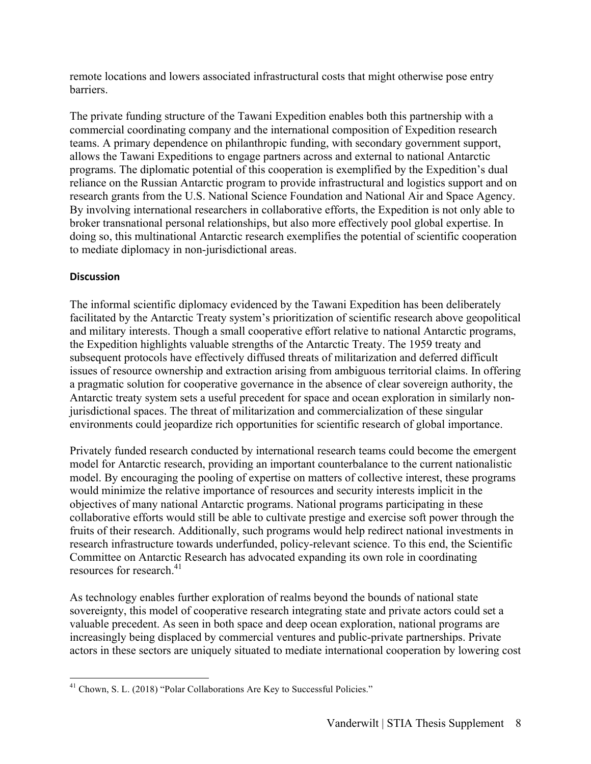remote locations and lowers associated infrastructural costs that might otherwise pose entry barriers.

The private funding structure of the Tawani Expedition enables both this partnership with a commercial coordinating company and the international composition of Expedition research teams. A primary dependence on philanthropic funding, with secondary government support, allows the Tawani Expeditions to engage partners across and external to national Antarctic programs. The diplomatic potential of this cooperation is exemplified by the Expedition's dual reliance on the Russian Antarctic program to provide infrastructural and logistics support and on research grants from the U.S. National Science Foundation and National Air and Space Agency. By involving international researchers in collaborative efforts, the Expedition is not only able to broker transnational personal relationships, but also more effectively pool global expertise. In doing so, this multinational Antarctic research exemplifies the potential of scientific cooperation to mediate diplomacy in non-jurisdictional areas.

## **Discussion**

The informal scientific diplomacy evidenced by the Tawani Expedition has been deliberately facilitated by the Antarctic Treaty system's prioritization of scientific research above geopolitical and military interests. Though a small cooperative effort relative to national Antarctic programs, the Expedition highlights valuable strengths of the Antarctic Treaty. The 1959 treaty and subsequent protocols have effectively diffused threats of militarization and deferred difficult issues of resource ownership and extraction arising from ambiguous territorial claims. In offering a pragmatic solution for cooperative governance in the absence of clear sovereign authority, the Antarctic treaty system sets a useful precedent for space and ocean exploration in similarly nonjurisdictional spaces. The threat of militarization and commercialization of these singular environments could jeopardize rich opportunities for scientific research of global importance.

Privately funded research conducted by international research teams could become the emergent model for Antarctic research, providing an important counterbalance to the current nationalistic model. By encouraging the pooling of expertise on matters of collective interest, these programs would minimize the relative importance of resources and security interests implicit in the objectives of many national Antarctic programs. National programs participating in these collaborative efforts would still be able to cultivate prestige and exercise soft power through the fruits of their research. Additionally, such programs would help redirect national investments in research infrastructure towards underfunded, policy-relevant science. To this end, the Scientific Committee on Antarctic Research has advocated expanding its own role in coordinating resources for research. 41

As technology enables further exploration of realms beyond the bounds of national state sovereignty, this model of cooperative research integrating state and private actors could set a valuable precedent. As seen in both space and deep ocean exploration, national programs are increasingly being displaced by commercial ventures and public-private partnerships. Private actors in these sectors are uniquely situated to mediate international cooperation by lowering cost

<sup>&</sup>lt;sup>41</sup> Chown, S. L. (2018) "Polar Collaborations Are Key to Successful Policies."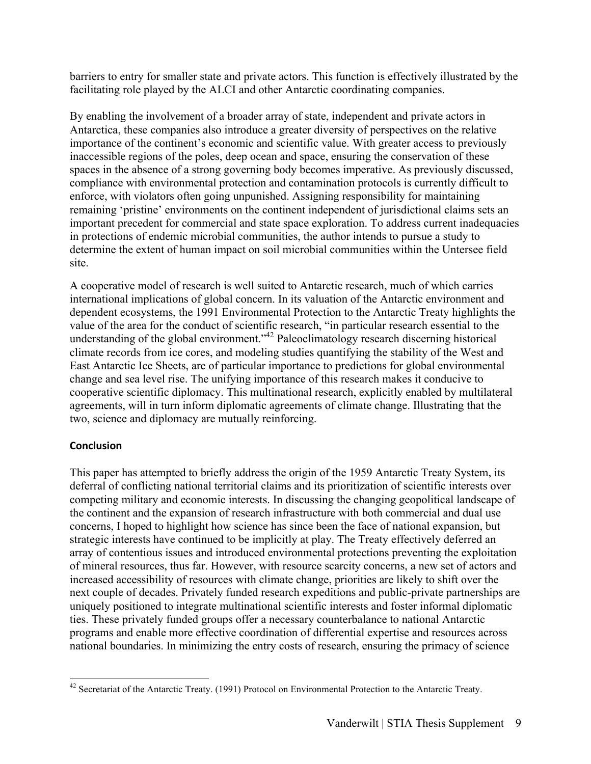barriers to entry for smaller state and private actors. This function is effectively illustrated by the facilitating role played by the ALCI and other Antarctic coordinating companies.

By enabling the involvement of a broader array of state, independent and private actors in Antarctica, these companies also introduce a greater diversity of perspectives on the relative importance of the continent's economic and scientific value. With greater access to previously inaccessible regions of the poles, deep ocean and space, ensuring the conservation of these spaces in the absence of a strong governing body becomes imperative. As previously discussed, compliance with environmental protection and contamination protocols is currently difficult to enforce, with violators often going unpunished. Assigning responsibility for maintaining remaining 'pristine' environments on the continent independent of jurisdictional claims sets an important precedent for commercial and state space exploration. To address current inadequacies in protections of endemic microbial communities, the author intends to pursue a study to determine the extent of human impact on soil microbial communities within the Untersee field site.

A cooperative model of research is well suited to Antarctic research, much of which carries international implications of global concern. In its valuation of the Antarctic environment and dependent ecosystems, the 1991 Environmental Protection to the Antarctic Treaty highlights the value of the area for the conduct of scientific research, "in particular research essential to the understanding of the global environment."<sup>42</sup> Paleoclimatology research discerning historical climate records from ice cores, and modeling studies quantifying the stability of the West and East Antarctic Ice Sheets, are of particular importance to predictions for global environmental change and sea level rise. The unifying importance of this research makes it conducive to cooperative scientific diplomacy. This multinational research, explicitly enabled by multilateral agreements, will in turn inform diplomatic agreements of climate change. Illustrating that the two, science and diplomacy are mutually reinforcing.

## **Conclusion**

This paper has attempted to briefly address the origin of the 1959 Antarctic Treaty System, its deferral of conflicting national territorial claims and its prioritization of scientific interests over competing military and economic interests. In discussing the changing geopolitical landscape of the continent and the expansion of research infrastructure with both commercial and dual use concerns, I hoped to highlight how science has since been the face of national expansion, but strategic interests have continued to be implicitly at play. The Treaty effectively deferred an array of contentious issues and introduced environmental protections preventing the exploitation of mineral resources, thus far. However, with resource scarcity concerns, a new set of actors and increased accessibility of resources with climate change, priorities are likely to shift over the next couple of decades. Privately funded research expeditions and public-private partnerships are uniquely positioned to integrate multinational scientific interests and foster informal diplomatic ties. These privately funded groups offer a necessary counterbalance to national Antarctic programs and enable more effective coordination of differential expertise and resources across national boundaries. In minimizing the entry costs of research, ensuring the primacy of science

<sup>&</sup>lt;sup>42</sup> Secretariat of the Antarctic Treaty. (1991) Protocol on Environmental Protection to the Antarctic Treaty.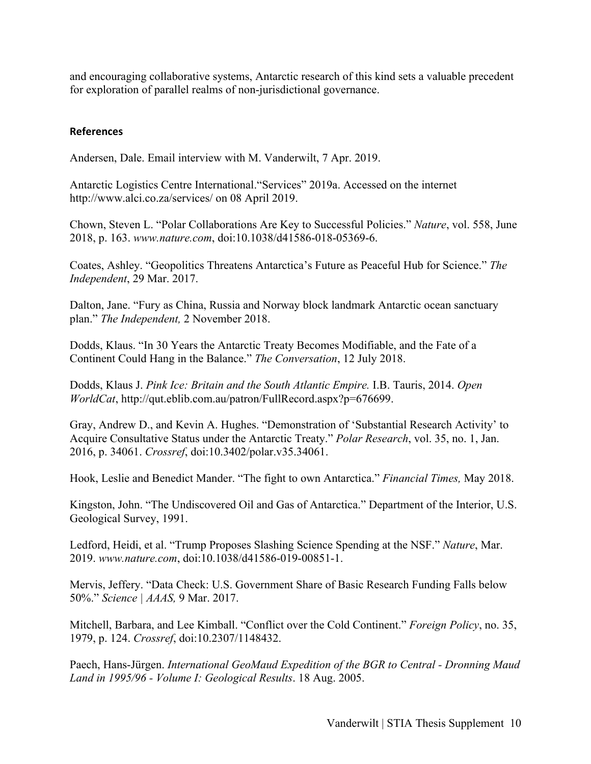and encouraging collaborative systems, Antarctic research of this kind sets a valuable precedent for exploration of parallel realms of non-jurisdictional governance.

#### **References**

Andersen, Dale. Email interview with M. Vanderwilt, 7 Apr. 2019.

Antarctic Logistics Centre International."Services" 2019a. Accessed on the internet http://www.alci.co.za/services/ on 08 April 2019.

Chown, Steven L. "Polar Collaborations Are Key to Successful Policies." *Nature*, vol. 558, June 2018, p. 163. *www.nature.com*, doi:10.1038/d41586-018-05369-6.

Coates, Ashley. "Geopolitics Threatens Antarctica's Future as Peaceful Hub for Science." *The Independent*, 29 Mar. 2017.

Dalton, Jane. "Fury as China, Russia and Norway block landmark Antarctic ocean sanctuary plan." *The Independent,* 2 November 2018.

Dodds, Klaus. "In 30 Years the Antarctic Treaty Becomes Modifiable, and the Fate of a Continent Could Hang in the Balance." *The Conversation*, 12 July 2018.

Dodds, Klaus J. *Pink Ice: Britain and the South Atlantic Empire.* I.B. Tauris, 2014. *Open WorldCat*, http://qut.eblib.com.au/patron/FullRecord.aspx?p=676699.

Gray, Andrew D., and Kevin A. Hughes. "Demonstration of 'Substantial Research Activity' to Acquire Consultative Status under the Antarctic Treaty." *Polar Research*, vol. 35, no. 1, Jan. 2016, p. 34061. *Crossref*, doi:10.3402/polar.v35.34061.

Hook, Leslie and Benedict Mander. "The fight to own Antarctica." *Financial Times,* May 2018.

Kingston, John. "The Undiscovered Oil and Gas of Antarctica." Department of the Interior, U.S. Geological Survey, 1991.

Ledford, Heidi, et al. "Trump Proposes Slashing Science Spending at the NSF." *Nature*, Mar. 2019. *www.nature.com*, doi:10.1038/d41586-019-00851-1.

Mervis, Jeffery. "Data Check: U.S. Government Share of Basic Research Funding Falls below 50%." *Science | AAAS,* 9 Mar. 2017.

Mitchell, Barbara, and Lee Kimball. "Conflict over the Cold Continent." *Foreign Policy*, no. 35, 1979, p. 124. *Crossref*, doi:10.2307/1148432.

Paech, Hans-Jürgen. *International GeoMaud Expedition of the BGR to Central - Dronning Maud Land in 1995/96 - Volume I: Geological Results*. 18 Aug. 2005.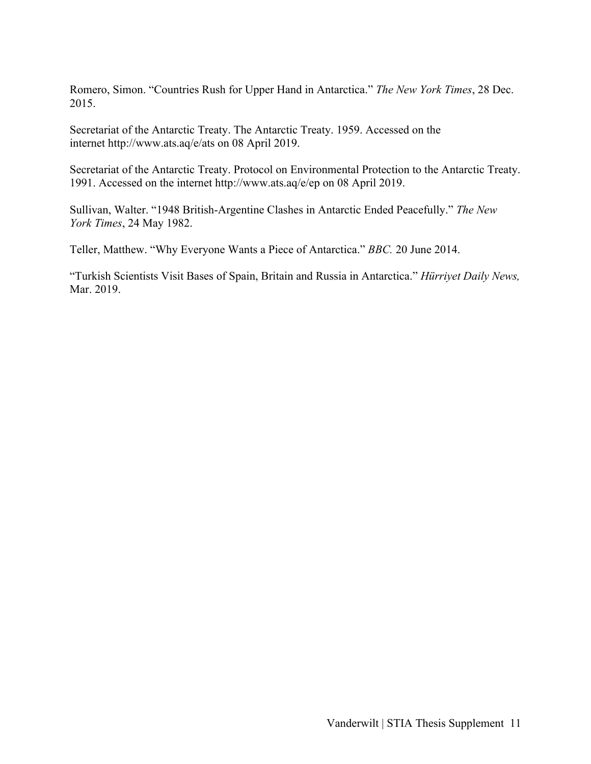Romero, Simon. "Countries Rush for Upper Hand in Antarctica." *The New York Times*, 28 Dec. 2015.

Secretariat of the Antarctic Treaty. The Antarctic Treaty. 1959. Accessed on the internet http://www.ats.aq/e/ats on 08 April 2019.

Secretariat of the Antarctic Treaty. Protocol on Environmental Protection to the Antarctic Treaty. 1991. Accessed on the internet http://www.ats.aq/e/ep on 08 April 2019.

Sullivan, Walter. "1948 British-Argentine Clashes in Antarctic Ended Peacefully." *The New York Times*, 24 May 1982.

Teller, Matthew. "Why Everyone Wants a Piece of Antarctica." *BBC.* 20 June 2014.

"Turkish Scientists Visit Bases of Spain, Britain and Russia in Antarctica." *Hürriyet Daily News,*  Mar. 2019.